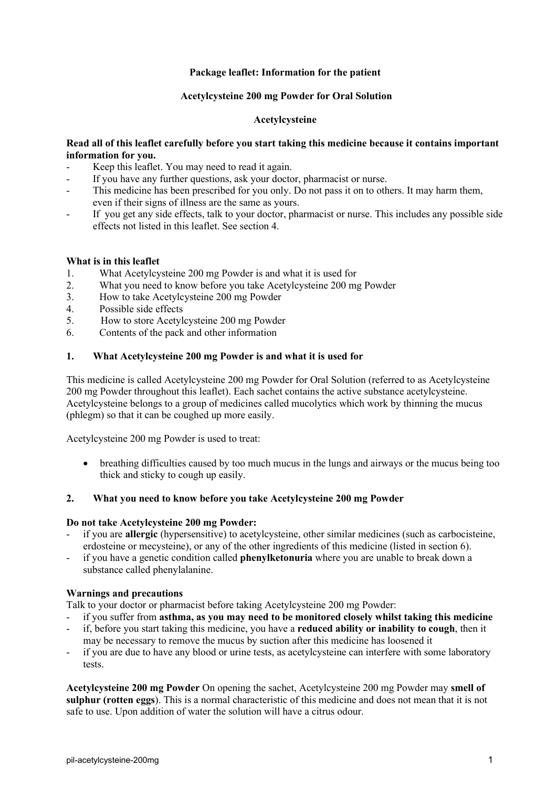# **Package leaflet: Information for the patient**

## **Acetylcysteine 200 mg Powder for Oral Solution**

# **Acetylcysteine**

# **Read all of this leaflet carefully before you start taking this medicine because it contains important information for you.**

- Keep this leaflet. You may need to read it again.
- If you have any further questions, ask your doctor, pharmacist or nurse.
- This medicine has been prescribed for you only. Do not pass it on to others. It may harm them, even if their signs of illness are the same as yours.
- If you get any side effects, talk to your doctor, pharmacist or nurse. This includes any possible side effects not listed in this leaflet. See section 4.

## **What is in this leaflet**

- 1. What Acetylcysteine 200 mg Powder is and what it is used for
- 2. What you need to know before you take Acetylcysteine 200 mg Powder
- 3. How to take Acetylcysteine 200 mg Powder
- 4. Possible side effects
- 5. How to store Acetylcysteine 200 mg Powder
- 6. Contents of the pack and other information

# **1. What Acetylcysteine 200 mg Powder is and what it is used for**

This medicine is called Acetylcysteine 200 mg Powder for Oral Solution (referred to as Acetylcysteine 200 mg Powder throughout this leaflet). Each sachet contains the active substance acetylcysteine. Acetylcysteine belongs to a group of medicines called mucolytics which work by thinning the mucus (phlegm) so that it can be coughed up more easily.

Acetylcysteine 200 mg Powder is used to treat:

• breathing difficulties caused by too much mucus in the lungs and airways or the mucus being too thick and sticky to cough up easily.

## **2. What you need to know before you take Acetylcysteine 200 mg Powder**

## **Do not take Acetylcysteine 200 mg Powder:**

- if you are **allergic** (hypersensitive) to acetylcysteine, other similar medicines (such as carbocisteine, erdosteine or mecysteine), or any of the other ingredients of this medicine (listed in section 6).
- if you have a genetic condition called **phenylketonuria** where you are unable to break down a substance called phenylalanine.

## **Warnings and precautions**

Talk to your doctor or pharmacist before taking Acetylcysteine 200 mg Powder:

- if you suffer from **asthma, as you may need to be monitored closely whilst taking this medicine** - if, before you start taking this medicine, you have a **reduced ability or inability to cough**, then it
- may be necessary to remove the mucus by suction after this medicine has loosened it
- if you are due to have any blood or urine tests, as acetylcysteine can interfere with some laboratory tests.

**Acetylcysteine 200 mg Powder** On opening the sachet, Acetylcysteine 200 mg Powder may **smell of sulphur (rotten eggs**). This is a normal characteristic of this medicine and does not mean that it is not safe to use. Upon addition of water the solution will have a citrus odour.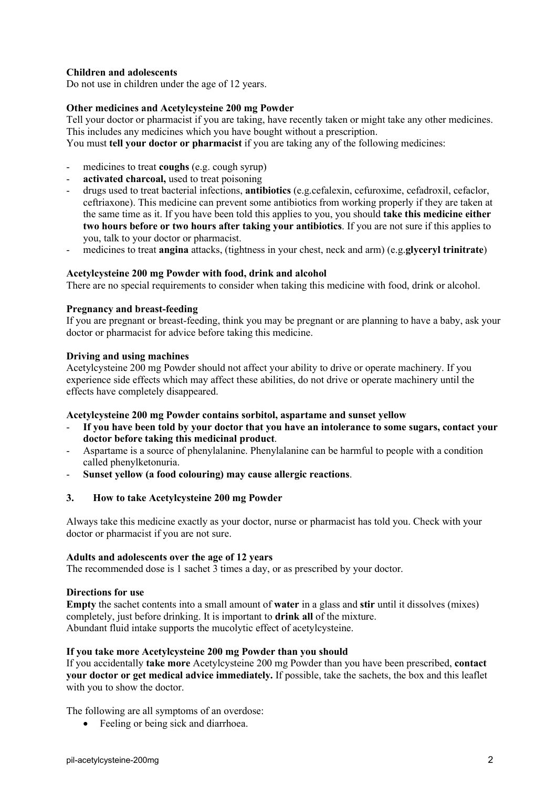# **Children and adolescents**

Do not use in children under the age of 12 years.

## **Other medicines and Acetylcysteine 200 mg Powder**

Tell your doctor or pharmacist if you are taking, have recently taken or might take any other medicines. This includes any medicines which you have bought without a prescription.

You must **tell your doctor or pharmacist** if you are taking any of the following medicines:

- medicines to treat **coughs** (e.g. cough syrup)
- activated charcoal, used to treat poisoning
- drugs used to treat bacterial infections, **antibiotics** (e.g.cefalexin, cefuroxime, cefadroxil, cefaclor, ceftriaxone). This medicine can prevent some antibiotics from working properly if they are taken at the same time as it. If you have been told this applies to you, you should **take this medicine either two hours before or two hours after taking your antibiotics**. If you are not sure if this applies to you, talk to your doctor or pharmacist.
- medicines to treat **angina** attacks, (tightness in your chest, neck and arm) (e.g.**glyceryl trinitrate**)

### **Acetylcysteine 200 mg Powder with food, drink and alcohol**

There are no special requirements to consider when taking this medicine with food, drink or alcohol.

### **Pregnancy and breast-feeding**

If you are pregnant or breast-feeding, think you may be pregnant or are planning to have a baby, ask your doctor or pharmacist for advice before taking this medicine.

#### **Driving and using machines**

Acetylcysteine 200 mg Powder should not affect your ability to drive or operate machinery. If you experience side effects which may affect these abilities, do not drive or operate machinery until the effects have completely disappeared.

#### **Acetylcysteine 200 mg Powder contains sorbitol, aspartame and sunset yellow**

- **If you have been told by your doctor that you have an intolerance to some sugars, contact your doctor before taking this medicinal product**.
- Aspartame is a source of phenylalanine. Phenylalanine can be harmful to people with a condition called phenylketonuria.
- **Sunset yellow (a food colouring) may cause allergic reactions**.

## **3. How to take Acetylcysteine 200 mg Powder**

Always take this medicine exactly as your doctor, nurse or pharmacist has told you. Check with your doctor or pharmacist if you are not sure.

### **Adults and adolescents over the age of 12 years**

The recommended dose is 1 sachet 3 times a day, or as prescribed by your doctor.

#### **Directions for use**

**Empty** the sachet contents into a small amount of **water** in a glass and **stir** until it dissolves (mixes) completely, just before drinking. It is important to **drink all** of the mixture. Abundant fluid intake supports the mucolytic effect of acetylcysteine.

#### **If you take more Acetylcysteine 200 mg Powder than you should**

If you accidentally **take more** Acetylcysteine 200 mg Powder than you have been prescribed, **contact your doctor or get medical advice immediately.** If possible, take the sachets, the box and this leaflet with you to show the doctor.

The following are all symptoms of an overdose:

• Feeling or being sick and diarrhoea.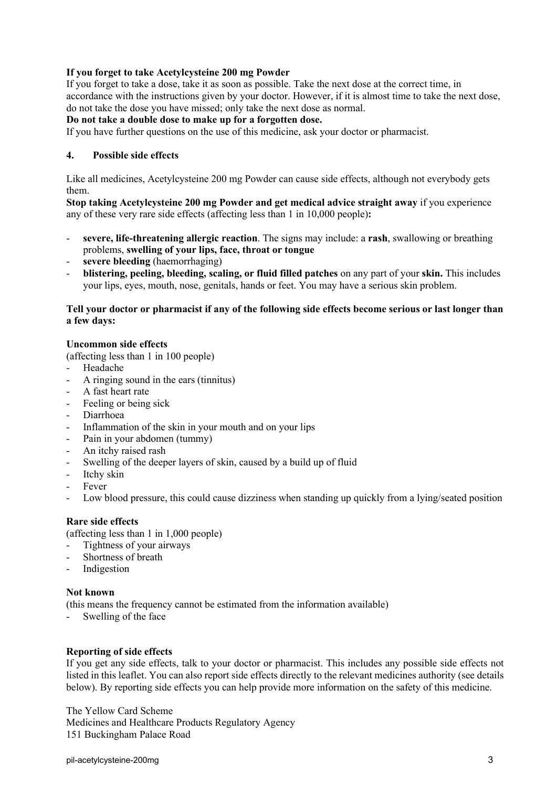# **If you forget to take Acetylcysteine 200 mg Powder**

If you forget to take a dose, take it as soon as possible. Take the next dose at the correct time, in accordance with the instructions given by your doctor. However, if it is almost time to take the next dose, do not take the dose you have missed; only take the next dose as normal.

# **Do not take a double dose to make up for a forgotten dose.**

If you have further questions on the use of this medicine, ask your doctor or pharmacist.

## **4. Possible side effects**

Like all medicines, Acetylcysteine 200 mg Powder can cause side effects, although not everybody gets them.

**Stop taking Acetylcysteine 200 mg Powder and get medical advice straight away** if you experience any of these very rare side effects (affecting less than 1 in 10,000 people)**:**

- severe, life-threatening allergic reaction. The signs may include: a rash, swallowing or breathing problems, **swelling of your lips, face, throat or tongue**
- severe bleeding (haemorrhaging)
- **blistering, peeling, bleeding, scaling, or fluid filled patches** on any part of your **skin.** This includes your lips, eyes, mouth, nose, genitals, hands or feet. You may have a serious skin problem.

### **Tell your doctor or pharmacist if any of the following side effects become serious or last longer than a few days:**

### **Uncommon side effects**

(affecting less than 1 in 100 people)

- Headache
- A ringing sound in the ears (tinnitus)
- A fast heart rate
- Feeling or being sick
- Diarrhoea
- Inflammation of the skin in your mouth and on your lips
- Pain in your abdomen (tummy)
- An itchy raised rash
- Swelling of the deeper layers of skin, caused by a build up of fluid
- Itchy skin
- Fever
- Low blood pressure, this could cause dizziness when standing up quickly from a lying/seated position

## **Rare side effects**

(affecting less than 1 in 1,000 people)

- Tightness of your airways
- Shortness of breath
- Indigestion

#### **Not known**

(this means the frequency cannot be estimated from the information available)

Swelling of the face

## **Reporting of side effects**

If you get any side effects, talk to your doctor or pharmacist. This includes any possible side effects not listed in this leaflet. You can also report side effects directly to the relevant medicines authority (see details below). By reporting side effects you can help provide more information on the safety of this medicine.

The Yellow Card Scheme Medicines and Healthcare Products Regulatory Agency 151 Buckingham Palace Road